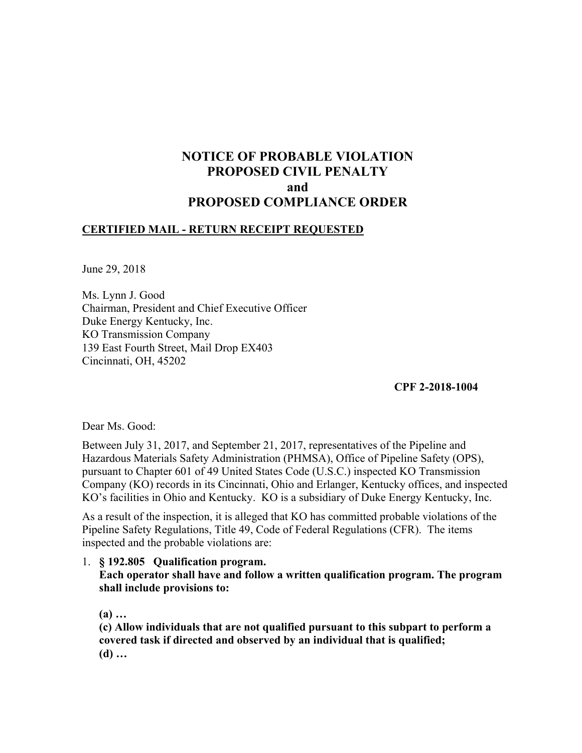# **NOTICE OF PROBABLE VIOLATION PROPOSED CIVIL PENALTY and PROPOSED COMPLIANCE ORDER**

## **CERTIFIED MAIL - RETURN RECEIPT REQUESTED**

June 29, 2018

Ms. Lynn J. Good Chairman, President and Chief Executive Officer Duke Energy Kentucky, Inc. KO Transmission Company 139 East Fourth Street, Mail Drop EX403 Cincinnati, OH, 45202

## **CPF 2-2018-1004**

Dear Ms. Good:

Between July 31, 2017, and September 21, 2017, representatives of the Pipeline and Hazardous Materials Safety Administration (PHMSA), Office of Pipeline Safety (OPS), pursuant to Chapter 601 of 49 United States Code (U.S.C.) inspected KO Transmission Company (KO) records in its Cincinnati, Ohio and Erlanger, Kentucky offices, and inspected KO's facilities in Ohio and Kentucky. KO is a subsidiary of Duke Energy Kentucky, Inc.

As a result of the inspection, it is alleged that KO has committed probable violations of the Pipeline Safety Regulations, Title 49, Code of Federal Regulations (CFR). The items inspected and the probable violations are:

1. **§ 192.805 Qualification program. Each operator shall have and follow a written qualification program. The program shall include provisions to:** 

**(a) …**

**(c) Allow individuals that are not qualified pursuant to this subpart to perform a covered task if directed and observed by an individual that is qualified; (d) …**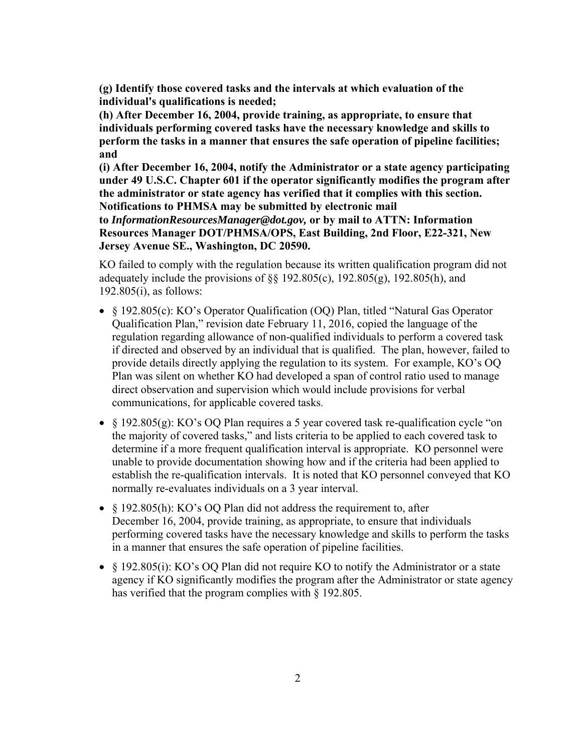**(g) Identify those covered tasks and the intervals at which evaluation of the individual's qualifications is needed;** 

**(h) After December 16, 2004, provide training, as appropriate, to ensure that individuals performing covered tasks have the necessary knowledge and skills to perform the tasks in a manner that ensures the safe operation of pipeline facilities; and** 

**(i) After December 16, 2004, notify the Administrator or a state agency participating under 49 U.S.C. Chapter 601 if the operator significantly modifies the program after the administrator or state agency has verified that it complies with this section. Notifications to PHMSA may be submitted by electronic mail** 

**to** *InformationResourcesManager@dot.gov,* **or by mail to ATTN: Information Resources Manager DOT/PHMSA/OPS, East Building, 2nd Floor, E22-321, New Jersey Avenue SE., Washington, DC 20590.** 

KO failed to comply with the regulation because its written qualification program did not adequately include the provisions of  $\S$  192.805(c), 192.805(g), 192.805(h), and 192.805(i), as follows:

- § 192.805(c): KO's Operator Qualification (OQ) Plan, titled "Natural Gas Operator Qualification Plan," revision date February 11, 2016, copied the language of the regulation regarding allowance of non-qualified individuals to perform a covered task if directed and observed by an individual that is qualified. The plan, however, failed to provide details directly applying the regulation to its system. For example, KO's OQ Plan was silent on whether KO had developed a span of control ratio used to manage direct observation and supervision which would include provisions for verbal communications, for applicable covered tasks.
- § 192.805(g): KO's OQ Plan requires a 5 year covered task re-qualification cycle "on the majority of covered tasks," and lists criteria to be applied to each covered task to determine if a more frequent qualification interval is appropriate. KO personnel were unable to provide documentation showing how and if the criteria had been applied to establish the re-qualification intervals. It is noted that KO personnel conveyed that KO normally re-evaluates individuals on a 3 year interval.
- $\&$  192.805(h): KO's OO Plan did not address the requirement to, after December 16, 2004, provide training, as appropriate, to ensure that individuals performing covered tasks have the necessary knowledge and skills to perform the tasks in a manner that ensures the safe operation of pipeline facilities.
- § 192.805(i): KO's OQ Plan did not require KO to notify the Administrator or a state agency if KO significantly modifies the program after the Administrator or state agency has verified that the program complies with § 192.805.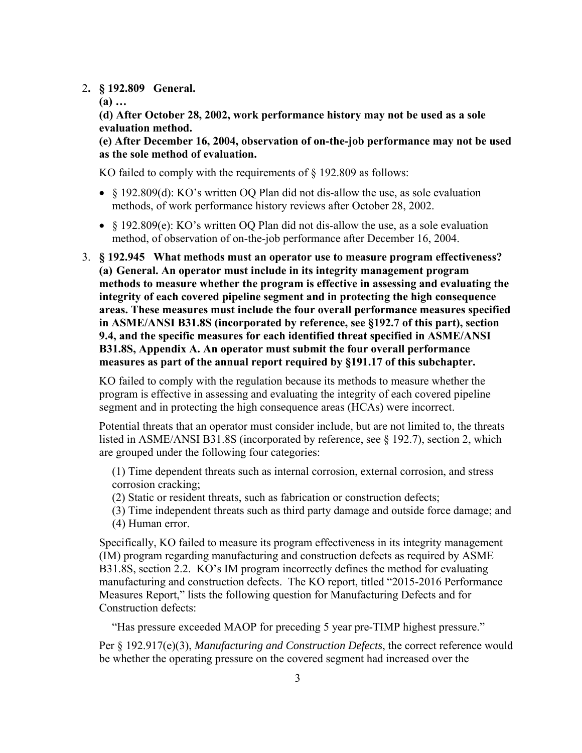#### 2**. § 192.809 General.**

**(a) …**

**(d) After October 28, 2002, work performance history may not be used as a sole evaluation method.** 

**(e) After December 16, 2004, observation of on-the-job performance may not be used as the sole method of evaluation.** 

KO failed to comply with the requirements of § 192.809 as follows:

- § 192.809(d): KO's written OQ Plan did not dis-allow the use, as sole evaluation methods, of work performance history reviews after October 28, 2002.
- § 192.809(e): KO's written OQ Plan did not dis-allow the use, as a sole evaluation method, of observation of on-the-job performance after December 16, 2004.
- **measures as part of the annual report required by §191.17 of this subchapter.** 3. **§ 192.945 What methods must an operator use to measure program effectiveness? (a) General. An operator must include in its integrity management program methods to measure whether the program is effective in assessing and evaluating the integrity of each covered pipeline segment and in protecting the high consequence areas. These measures must include the four overall performance measures specified in ASME/ANSI B31.8S (incorporated by reference, see §192.7 of this part), section 9.4, and the specific measures for each identified threat specified in ASME/ANSI B31.8S, Appendix A. An operator must submit the four overall performance**

KO failed to comply with the regulation because its methods to measure whether the program is effective in assessing and evaluating the integrity of each covered pipeline segment and in protecting the high consequence areas (HCAs) were incorrect.

Potential threats that an operator must consider include, but are not limited to, the threats listed in ASME/ANSI B31.8S (incorporated by reference, see § 192.7), section 2, which are grouped under the following four categories:

(1) Time dependent threats such as internal corrosion, external corrosion, and stress corrosion cracking;

- (2) Static or resident threats, such as fabrication or construction defects;
- (3) Time independent threats such as third party damage and outside force damage; and (4) Human error.

Specifically, KO failed to measure its program effectiveness in its integrity management (IM) program regarding manufacturing and construction defects as required by ASME B31.8S, section 2.2. KO's IM program incorrectly defines the method for evaluating manufacturing and construction defects. The KO report, titled "2015-2016 Performance Measures Report," lists the following question for Manufacturing Defects and for Construction defects:

"Has pressure exceeded MAOP for preceding 5 year pre-TIMP highest pressure."

Per § 192.917(e)(3), *Manufacturing and Construction Defects*, the correct reference would be whether the operating pressure on the covered segment had increased over the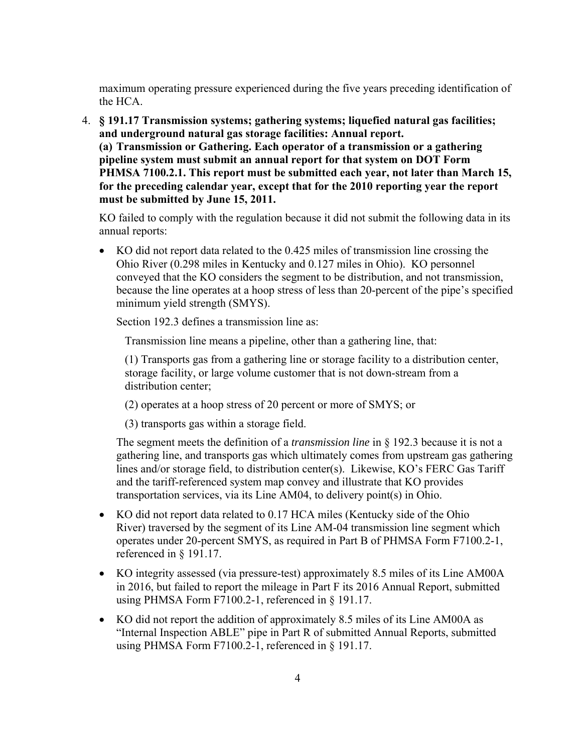maximum operating pressure experienced during the five years preceding identification of the HCA.

4. **§ 191.17 Transmission systems; gathering systems; liquefied natural gas facilities; and underground natural gas storage facilities: Annual report. (a) Transmission or Gathering. Each operator of a transmission or a gathering pipeline system must submit an annual report for that system on DOT Form PHMSA 7100.2.1. This report must be submitted each year, not later than March 15, for the preceding calendar year, except that for the 2010 reporting year the report must be submitted by June 15, 2011.** 

KO failed to comply with the regulation because it did not submit the following data in its annual reports:

 KO did not report data related to the 0.425 miles of transmission line crossing the Ohio River (0.298 miles in Kentucky and 0.127 miles in Ohio). KO personnel conveyed that the KO considers the segment to be distribution, and not transmission, because the line operates at a hoop stress of less than 20-percent of the pipe's specified minimum yield strength (SMYS).

Section 192.3 defines a transmission line as:

Transmission line means a pipeline, other than a gathering line, that:

(1) Transports gas from a gathering line or storage facility to a distribution center, storage facility, or large volume customer that is not down-stream from a distribution center;

- (2) operates at a hoop stress of 20 percent or more of SMYS; or
- (3) transports gas within a storage field.

The segment meets the definition of a *transmission line* in § 192.3 because it is not a gathering line, and transports gas which ultimately comes from upstream gas gathering lines and/or storage field, to distribution center(s). Likewise, KO's FERC Gas Tariff and the tariff-referenced system map convey and illustrate that KO provides transportation services, via its Line AM04, to delivery point(s) in Ohio.

- KO did not report data related to 0.17 HCA miles (Kentucky side of the Ohio River) traversed by the segment of its Line AM-04 transmission line segment which operates under 20-percent SMYS, as required in Part B of PHMSA Form F7100.2-1, referenced in § 191.17.
- KO integrity assessed (via pressure-test) approximately 8.5 miles of its Line AM00A in 2016, but failed to report the mileage in Part F its 2016 Annual Report, submitted using PHMSA Form F7100.2-1, referenced in § 191.17.
- KO did not report the addition of approximately 8.5 miles of its Line AM00A as "Internal Inspection ABLE" pipe in Part R of submitted Annual Reports, submitted using PHMSA Form F7100.2-1, referenced in § 191.17.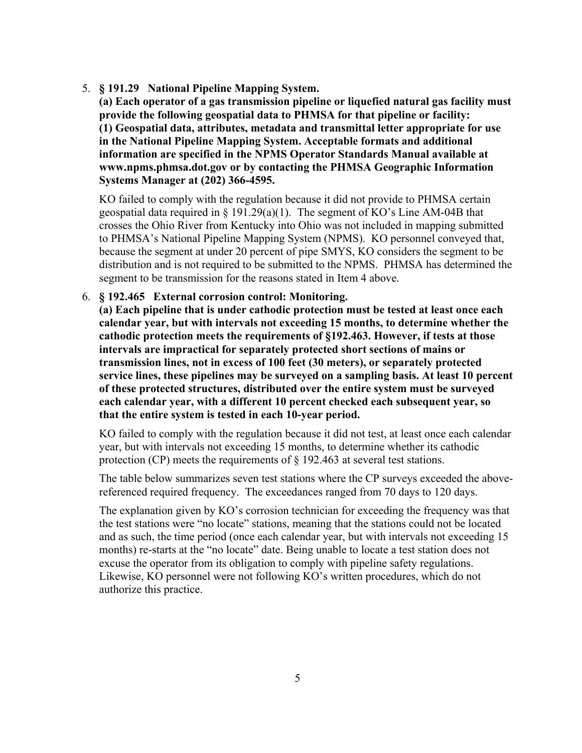5. **§ 191.29 National Pipeline Mapping System.**

**(a) Each operator of a gas transmission pipeline or liquefied natural gas facility must provide the following geospatial data to PHMSA for that pipeline or facility: (1) Geospatial data, attributes, metadata and transmittal letter appropriate for use in the National Pipeline Mapping System. Acceptable formats and additional information are specified in the NPMS Operator Standards Manual available at www.npms.phmsa.dot.gov or by contacting the PHMSA Geographic Information Systems Manager at (202) 366-4595.** 

KO failed to comply with the regulation because it did not provide to PHMSA certain geospatial data required in § 191.29(a)(1). The segment of KO's Line AM-04B that crosses the Ohio River from Kentucky into Ohio was not included in mapping submitted to PHMSA's National Pipeline Mapping System (NPMS). KO personnel conveyed that, because the segment at under 20 percent of pipe SMYS, KO considers the segment to be distribution and is not required to be submitted to the NPMS. PHMSA has determined the segment to be transmission for the reasons stated in Item 4 above.

6. **§ 192.465 External corrosion control: Monitoring.** 

**(a) Each pipeline that is under cathodic protection must be tested at least once each calendar year, but with intervals not exceeding 15 months, to determine whether the cathodic protection meets the requirements of §192.463. However, if tests at those intervals are impractical for separately protected short sections of mains or transmission lines, not in excess of 100 feet (30 meters), or separately protected service lines, these pipelines may be surveyed on a sampling basis. At least 10 percent of these protected structures, distributed over the entire system must be surveyed each calendar year, with a different 10 percent checked each subsequent year, so that the entire system is tested in each 10-year period.** 

KO failed to comply with the regulation because it did not test, at least once each calendar year, but with intervals not exceeding 15 months, to determine whether its cathodic protection (CP) meets the requirements of  $\S$  192.463 at several test stations.

The table below summarizes seven test stations where the CP surveys exceeded the abovereferenced required frequency. The exceedances ranged from 70 days to 120 days.

The explanation given by KO's corrosion technician for exceeding the frequency was that the test stations were "no locate" stations, meaning that the stations could not be located and as such, the time period (once each calendar year, but with intervals not exceeding 15 months) re-starts at the "no locate" date. Being unable to locate a test station does not excuse the operator from its obligation to comply with pipeline safety regulations. Likewise, KO personnel were not following KO's written procedures, which do not authorize this practice.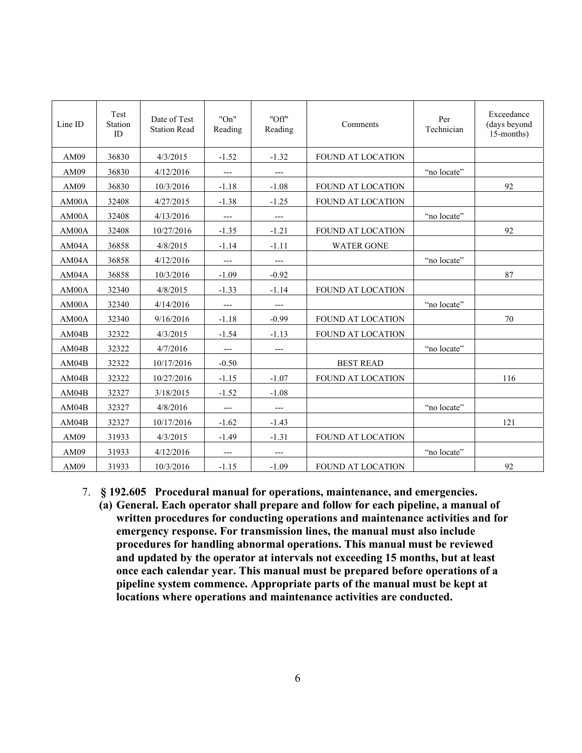| Line ID | Test<br>Station<br>ID | Date of Test<br><b>Station Read</b> | "On"<br>Reading | "Off"<br>Reading | Comments                 | Per<br>Technician | Exceedance<br>(days beyond<br>15-months) |
|---------|-----------------------|-------------------------------------|-----------------|------------------|--------------------------|-------------------|------------------------------------------|
| AM09    | 36830                 | 4/3/2015                            | $-1.52$         | $-1.32$          | FOUND AT LOCATION        |                   |                                          |
| AM09    | 36830                 | 4/12/2016                           | ---             | $---$            |                          | "no locate"       |                                          |
| AM09    | 36830                 | 10/3/2016                           | $-1.18$         | $-1.08$          | <b>FOUND AT LOCATION</b> |                   | 92                                       |
| AM00A   | 32408                 | 4/27/2015                           | $-1.38$         | $-1.25$          | <b>FOUND AT LOCATION</b> |                   |                                          |
| AM00A   | 32408                 | 4/13/2016                           | ---             | $---$            |                          | "no locate"       |                                          |
| AM00A   | 32408                 | 10/27/2016                          | $-1.35$         | $-1.21$          | <b>FOUND AT LOCATION</b> |                   | 92                                       |
| AM04A   | 36858                 | 4/8/2015                            | $-1.14$         | $-1.11$          | <b>WATER GONE</b>        |                   |                                          |
| AM04A   | 36858                 | 4/12/2016                           | $---$           | $---$            |                          | "no locate"       |                                          |
| AM04A   | 36858                 | 10/3/2016                           | $-1.09$         | $-0.92$          |                          |                   | 87                                       |
| AM00A   | 32340                 | 4/8/2015                            | $-1.33$         | $-1.14$          | FOUND AT LOCATION        |                   |                                          |
| AM00A   | 32340                 | 4/14/2016                           | ---             | $---$            |                          | "no locate"       |                                          |
| AM00A   | 32340                 | 9/16/2016                           | $-1.18$         | $-0.99$          | <b>FOUND AT LOCATION</b> |                   | 70                                       |
| AM04B   | 32322                 | 4/3/2015                            | $-1.54$         | $-1.13$          | <b>FOUND AT LOCATION</b> |                   |                                          |
| AM04B   | 32322                 | 4/7/2016                            | ---             | $---$            |                          | "no locate"       |                                          |
| AM04B   | 32322                 | 10/17/2016                          | $-0.50$         |                  | <b>BEST READ</b>         |                   |                                          |
| AM04B   | 32322                 | 10/27/2016                          | $-1.15$         | $-1.07$          | FOUND AT LOCATION        |                   | 116                                      |
| AM04B   | 32327                 | 3/18/2015                           | $-1.52$         | $-1.08$          |                          |                   |                                          |
| AM04B   | 32327                 | 4/8/2016                            | $---$           | ---              |                          | "no locate"       |                                          |
| AM04B   | 32327                 | 10/17/2016                          | $-1.62$         | $-1.43$          |                          |                   | 121                                      |
| AM09    | 31933                 | 4/3/2015                            | $-1.49$         | $-1.31$          | FOUND AT LOCATION        |                   |                                          |
| AM09    | 31933                 | 4/12/2016                           | $---$           | ---              |                          | "no locate"       |                                          |
| AM09    | 31933                 | 10/3/2016                           | $-1.15$         | $-1.09$          | FOUND AT LOCATION        |                   | 92                                       |

- 7. **§ 192.605 Procedural manual for operations, maintenance, and emergencies.** 
	- **(a) General. Each operator shall prepare and follow for each pipeline, a manual of written procedures for conducting operations and maintenance activities and for emergency response. For transmission lines, the manual must also include procedures for handling abnormal operations. This manual must be reviewed and updated by the operator at intervals not exceeding 15 months, but at least once each calendar year. This manual must be prepared before operations of a pipeline system commence. Appropriate parts of the manual must be kept at locations where operations and maintenance activities are conducted.**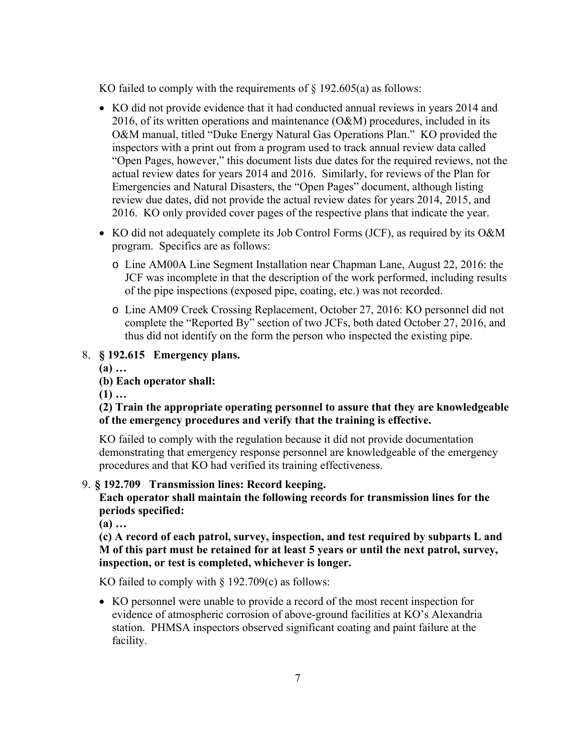KO failed to comply with the requirements of  $\S$  192.605(a) as follows:

- KO did not provide evidence that it had conducted annual reviews in years 2014 and 2016, of its written operations and maintenance  $(O&M)$  procedures, included in its O&M manual, titled "Duke Energy Natural Gas Operations Plan." KO provided the inspectors with a print out from a program used to track annual review data called "Open Pages, however," this document lists due dates for the required reviews, not the actual review dates for years 2014 and 2016. Similarly, for reviews of the Plan for Emergencies and Natural Disasters, the "Open Pages" document, although listing review due dates, did not provide the actual review dates for years 2014, 2015, and 2016. KO only provided cover pages of the respective plans that indicate the year.
- KO did not adequately complete its Job Control Forms (JCF), as required by its O&M program. Specifics are as follows:
	- o Line AM00A Line Segment Installation near Chapman Lane, August 22, 2016: the JCF was incomplete in that the description of the work performed, including results of the pipe inspections (exposed pipe, coating, etc.) was not recorded.
	- o Line AM09 Creek Crossing Replacement, October 27, 2016: KO personnel did not complete the "Reported By" section of two JCFs, both dated October 27, 2016, and thus did not identify on the form the person who inspected the existing pipe.

## 8. **§ 192.615 Emergency plans.**

**(a) …**

**(b) Each operator shall:** 

**(1) …**

## **(2) Train the appropriate operating personnel to assure that they are knowledgeable of the emergency procedures and verify that the training is effective.**

KO failed to comply with the regulation because it did not provide documentation demonstrating that emergency response personnel are knowledgeable of the emergency procedures and that KO had verified its training effectiveness.

## 9. **§ 192.709 Transmission lines: Record keeping.**

**Each operator shall maintain the following records for transmission lines for the periods specified:** 

**(a) …**

**(c) A record of each patrol, survey, inspection, and test required by subparts L and M of this part must be retained for at least 5 years or until the next patrol, survey, inspection, or test is completed, whichever is longer.**

KO failed to comply with  $\S$  192.709(c) as follows:

 KO personnel were unable to provide a record of the most recent inspection for evidence of atmospheric corrosion of above-ground facilities at KO's Alexandria station. PHMSA inspectors observed significant coating and paint failure at the facility.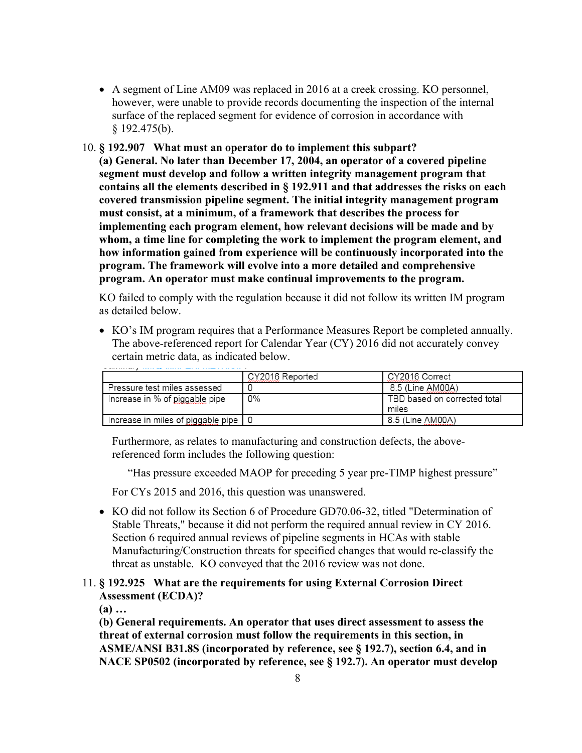- A segment of Line AM09 was replaced in 2016 at a creek crossing. KO personnel, however, were unable to provide records documenting the inspection of the internal surface of the replaced segment for evidence of corrosion in accordance with  $§$  192.475(b).
- 10. **§ 192.907 What must an operator do to implement this subpart?**

**(a) General. No later than December 17, 2004, an operator of a covered pipeline segment must develop and follow a written integrity management program that contains all the elements described in § 192.911 and that addresses the risks on each covered transmission pipeline segment. The initial integrity management program must consist, at a minimum, of a framework that describes the process for implementing each program element, how relevant decisions will be made and by whom, a time line for completing the work to implement the program element, and how information gained from experience will be continuously incorporated into the program. The framework will evolve into a more detailed and comprehensive program. An operator must make continual improvements to the program.**

KO failed to comply with the regulation because it did not follow its written IM program as detailed below.

 KO's IM program requires that a Performance Measures Report be completed annually. The above-referenced report for Calendar Year (CY) 2016 did not accurately convey certain metric data, as indicated below.

|                                    | CY2016 Reported | CY2016 Correct                        |
|------------------------------------|-----------------|---------------------------------------|
| Pressure test miles assessed       |                 | 8.5 (Line AM00A)                      |
| Increase in % of piggable pipe     | 0%              | TBD based on corrected total<br>miles |
| Increase in miles of piggable pipe |                 | 8.5 (Line AM00A)                      |

Furthermore, as relates to manufacturing and construction defects, the abovereferenced form includes the following question:

"Has pressure exceeded MAOP for preceding 5 year pre-TIMP highest pressure"

For CYs 2015 and 2016, this question was unanswered.

• KO did not follow its Section 6 of Procedure GD70.06-32, titled "Determination of Stable Threats," because it did not perform the required annual review in CY 2016. Section 6 required annual reviews of pipeline segments in HCAs with stable Manufacturing/Construction threats for specified changes that would re-classify the threat as unstable. KO conveyed that the 2016 review was not done.

# 11. **§ 192.925 What are the requirements for using External Corrosion Direct Assessment (ECDA)?**

**(a) …**

**(b) General requirements. An operator that uses direct assessment to assess the threat of external corrosion must follow the requirements in this section, in ASME/ANSI B31.8S (incorporated by reference, see § 192.7), section 6.4, and in NACE SP0502 (incorporated by reference, see § 192.7). An operator must develop**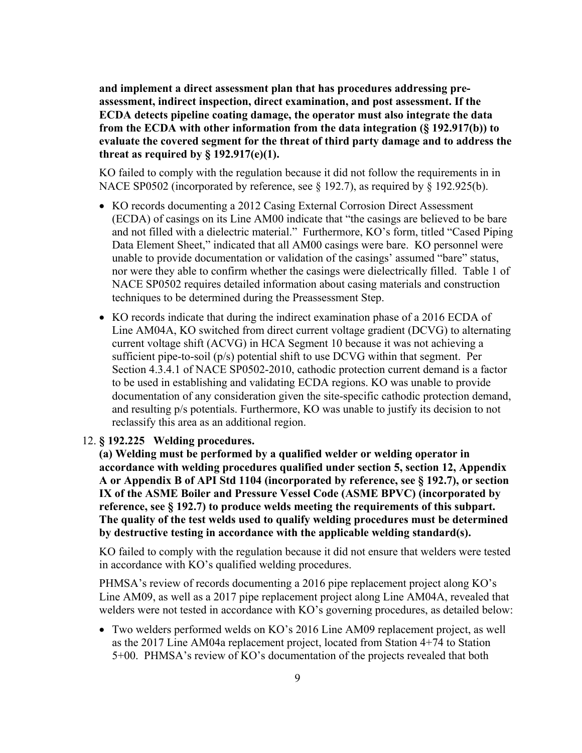**and implement a direct assessment plan that has procedures addressing preassessment, indirect inspection, direct examination, and post assessment. If the ECDA detects pipeline coating damage, the operator must also integrate the data from the ECDA with other information from the data integration (§ 192.917(b)) to evaluate the covered segment for the threat of third party damage and to address the threat as required by § 192.917(e)(1).** 

KO failed to comply with the regulation because it did not follow the requirements in in NACE SP0502 (incorporated by reference, see § 192.7), as required by § 192.925(b).

- KO records documenting a 2012 Casing External Corrosion Direct Assessment (ECDA) of casings on its Line AM00 indicate that "the casings are believed to be bare and not filled with a dielectric material." Furthermore, KO's form, titled "Cased Piping Data Element Sheet," indicated that all AM00 casings were bare. KO personnel were unable to provide documentation or validation of the casings' assumed "bare" status, nor were they able to confirm whether the casings were dielectrically filled. Table 1 of NACE SP0502 requires detailed information about casing materials and construction techniques to be determined during the Preassessment Step.
- KO records indicate that during the indirect examination phase of a 2016 ECDA of Line AM04A, KO switched from direct current voltage gradient (DCVG) to alternating current voltage shift (ACVG) in HCA Segment 10 because it was not achieving a sufficient pipe-to-soil (p/s) potential shift to use DCVG within that segment. Per Section 4.3.4.1 of NACE SP0502-2010, cathodic protection current demand is a factor to be used in establishing and validating ECDA regions. KO was unable to provide documentation of any consideration given the site-specific cathodic protection demand, and resulting p/s potentials. Furthermore, KO was unable to justify its decision to not reclassify this area as an additional region.

### 12. **§ 192.225 Welding procedures.**

**(a) Welding must be performed by a qualified welder or welding operator in accordance with welding procedures qualified under section 5, section 12, Appendix A or Appendix B of API Std 1104 (incorporated by reference, see § 192.7), or section IX of the ASME Boiler and Pressure Vessel Code (ASME BPVC) (incorporated by reference, see § 192.7) to produce welds meeting the requirements of this subpart. The quality of the test welds used to qualify welding procedures must be determined by destructive testing in accordance with the applicable welding standard(s).**

KO failed to comply with the regulation because it did not ensure that welders were tested in accordance with KO's qualified welding procedures.

PHMSA's review of records documenting a 2016 pipe replacement project along KO's Line AM09, as well as a 2017 pipe replacement project along Line AM04A, revealed that welders were not tested in accordance with KO's governing procedures, as detailed below:

 Two welders performed welds on KO's 2016 Line AM09 replacement project, as well as the 2017 Line AM04a replacement project, located from Station 4+74 to Station 5+00. PHMSA's review of KO's documentation of the projects revealed that both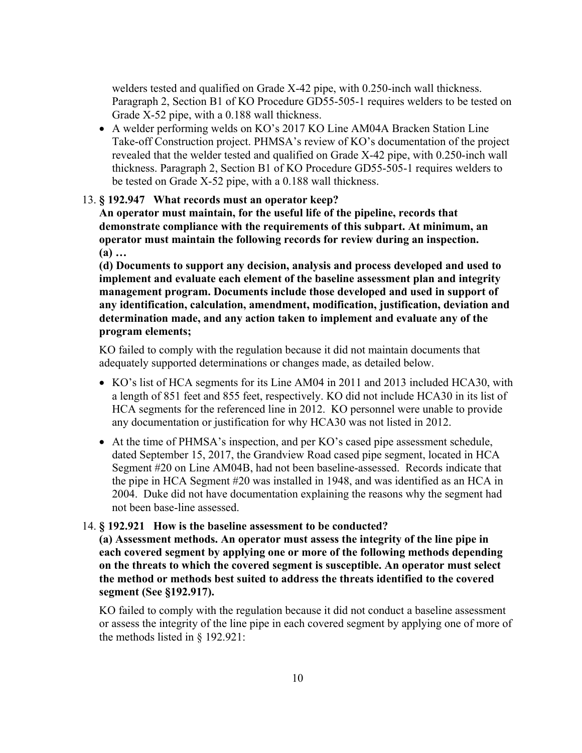welders tested and qualified on Grade X-42 pipe, with 0.250-inch wall thickness. Paragraph 2, Section B1 of KO Procedure GD55-505-1 requires welders to be tested on Grade X-52 pipe, with a 0.188 wall thickness.

 A welder performing welds on KO's 2017 KO Line AM04A Bracken Station Line Take-off Construction project. PHMSA's review of KO's documentation of the project revealed that the welder tested and qualified on Grade X-42 pipe, with 0.250-inch wall thickness. Paragraph 2, Section B1 of KO Procedure GD55-505-1 requires welders to be tested on Grade X-52 pipe, with a 0.188 wall thickness.

#### 13. **§ 192.947 What records must an operator keep?**

**An operator must maintain, for the useful life of the pipeline, records that demonstrate compliance with the requirements of this subpart. At minimum, an operator must maintain the following records for review during an inspection. (a) …**

**(d) Documents to support any decision, analysis and process developed and used to implement and evaluate each element of the baseline assessment plan and integrity management program. Documents include those developed and used in support of any identification, calculation, amendment, modification, justification, deviation and determination made, and any action taken to implement and evaluate any of the program elements;** 

KO failed to comply with the regulation because it did not maintain documents that adequately supported determinations or changes made, as detailed below.

- KO's list of HCA segments for its Line AM04 in 2011 and 2013 included HCA30, with a length of 851 feet and 855 feet, respectively. KO did not include HCA30 in its list of HCA segments for the referenced line in 2012. KO personnel were unable to provide any documentation or justification for why HCA30 was not listed in 2012.
- At the time of PHMSA's inspection, and per KO's cased pipe assessment schedule, dated September 15, 2017, the Grandview Road cased pipe segment, located in HCA Segment #20 on Line AM04B, had not been baseline-assessed. Records indicate that the pipe in HCA Segment #20 was installed in 1948, and was identified as an HCA in 2004. Duke did not have documentation explaining the reasons why the segment had not been base-line assessed.

#### 14. **§ 192.921 How is the baseline assessment to be conducted?**

**(a) Assessment methods. An operator must assess the integrity of the line pipe in each covered segment by applying one or more of the following methods depending on the threats to which the covered segment is susceptible. An operator must select the method or methods best suited to address the threats identified to the covered segment (See §192.917).** 

KO failed to comply with the regulation because it did not conduct a baseline assessment or assess the integrity of the line pipe in each covered segment by applying one of more of the methods listed in § 192.921: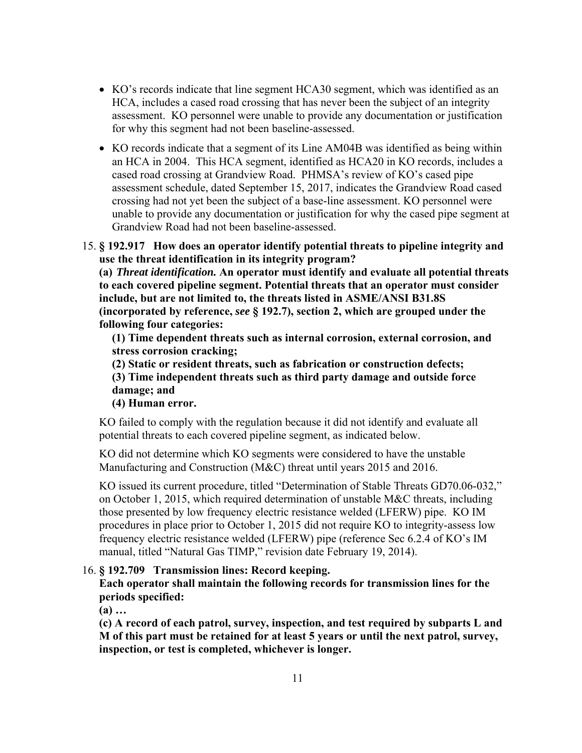- KO's records indicate that line segment HCA30 segment, which was identified as an HCA, includes a cased road crossing that has never been the subject of an integrity assessment. KO personnel were unable to provide any documentation or justification for why this segment had not been baseline-assessed.
- KO records indicate that a segment of its Line AM04B was identified as being within an HCA in 2004. This HCA segment, identified as HCA20 in KO records, includes a cased road crossing at Grandview Road. PHMSA's review of KO's cased pipe assessment schedule, dated September 15, 2017, indicates the Grandview Road cased crossing had not yet been the subject of a base-line assessment. KO personnel were unable to provide any documentation or justification for why the cased pipe segment at Grandview Road had not been baseline-assessed.
- 15. **§ 192.917 How does an operator identify potential threats to pipeline integrity and use the threat identification in its integrity program?**

**(a)** *Threat identification.* **An operator must identify and evaluate all potential threats to each covered pipeline segment. Potential threats that an operator must consider include, but are not limited to, the threats listed in ASME/ANSI B31.8S (incorporated by reference,** *see* **§ 192.7), section 2, which are grouped under the following four categories:** 

**(1) Time dependent threats such as internal corrosion, external corrosion, and stress corrosion cracking;** 

**(2) Static or resident threats, such as fabrication or construction defects; (3) Time independent threats such as third party damage and outside force** 

**damage; and** 

**(4) Human error.**

KO failed to comply with the regulation because it did not identify and evaluate all potential threats to each covered pipeline segment, as indicated below.

KO did not determine which KO segments were considered to have the unstable Manufacturing and Construction (M&C) threat until years 2015 and 2016.

KO issued its current procedure, titled "Determination of Stable Threats GD70.06-032," on October 1, 2015, which required determination of unstable M&C threats, including those presented by low frequency electric resistance welded (LFERW) pipe. KO IM procedures in place prior to October 1, 2015 did not require KO to integrity-assess low frequency electric resistance welded (LFERW) pipe (reference Sec 6.2.4 of KO's IM manual, titled "Natural Gas TIMP," revision date February 19, 2014).

## 16. **§ 192.709 Transmission lines: Record keeping.**

**Each operator shall maintain the following records for transmission lines for the periods specified:** 

**(a) …** 

**(c) A record of each patrol, survey, inspection, and test required by subparts L and M of this part must be retained for at least 5 years or until the next patrol, survey, inspection, or test is completed, whichever is longer.**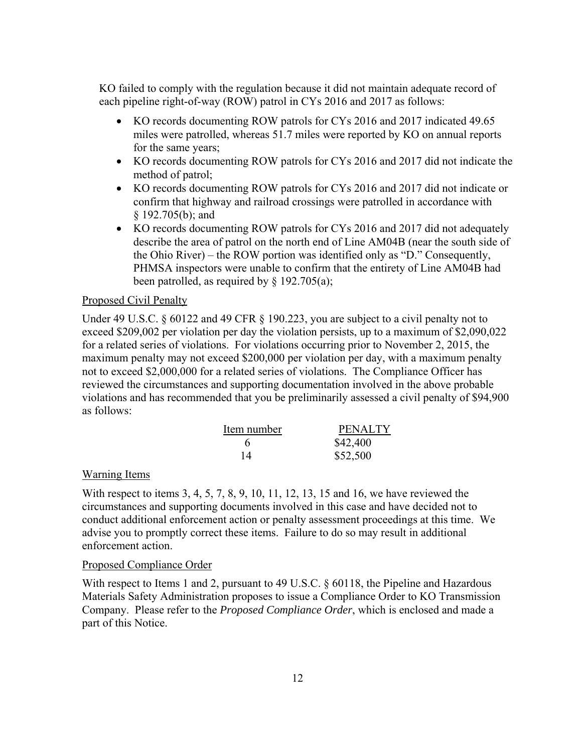KO failed to comply with the regulation because it did not maintain adequate record of each pipeline right-of-way (ROW) patrol in CYs 2016 and 2017 as follows:

- KO records documenting ROW patrols for CYs 2016 and 2017 indicated 49.65 miles were patrolled, whereas 51.7 miles were reported by KO on annual reports for the same years;
- KO records documenting ROW patrols for CYs 2016 and 2017 did not indicate the method of patrol;
- KO records documenting ROW patrols for CYs 2016 and 2017 did not indicate or confirm that highway and railroad crossings were patrolled in accordance with § 192.705(b); and
- KO records documenting ROW patrols for CYs 2016 and 2017 did not adequately describe the area of patrol on the north end of Line AM04B (near the south side of the Ohio River) – the ROW portion was identified only as "D." Consequently, PHMSA inspectors were unable to confirm that the entirety of Line AM04B had been patrolled, as required by  $\S$  192.705(a);

### Proposed Civil Penalty

Under 49 U.S.C. § 60122 and 49 CFR § 190.223, you are subject to a civil penalty not to exceed \$209,002 per violation per day the violation persists, up to a maximum of \$2,090,022 for a related series of violations. For violations occurring prior to November 2, 2015, the maximum penalty may not exceed \$200,000 per violation per day, with a maximum penalty not to exceed \$2,000,000 for a related series of violations. The Compliance Officer has reviewed the circumstances and supporting documentation involved in the above probable violations and has recommended that you be preliminarily assessed a civil penalty of \$94,900 as follows:

| Item number | <b>PENALTY</b> |
|-------------|----------------|
|             | \$42,400       |
| 14          | \$52,500       |

#### Warning Items

With respect to items 3, 4, 5, 7, 8, 9, 10, 11, 12, 13, 15 and 16, we have reviewed the circumstances and supporting documents involved in this case and have decided not to conduct additional enforcement action or penalty assessment proceedings at this time. We advise you to promptly correct these items. Failure to do so may result in additional enforcement action.

#### Proposed Compliance Order

With respect to Items 1 and 2, pursuant to 49 U.S.C. § 60118, the Pipeline and Hazardous Materials Safety Administration proposes to issue a Compliance Order to KO Transmission Company. Please refer to the *Proposed Compliance Order*, which is enclosed and made a part of this Notice.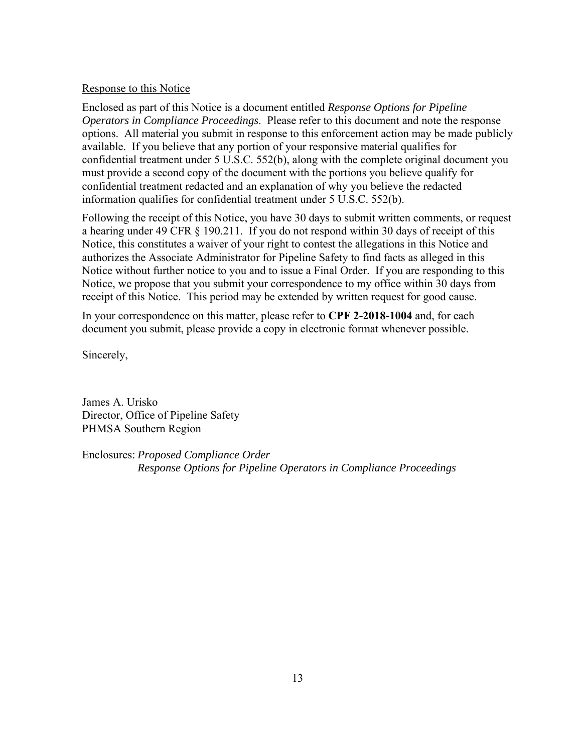## Response to this Notice

Enclosed as part of this Notice is a document entitled *Response Options for Pipeline Operators in Compliance Proceedings*. Please refer to this document and note the response options. All material you submit in response to this enforcement action may be made publicly available. If you believe that any portion of your responsive material qualifies for confidential treatment under 5 U.S.C. 552(b), along with the complete original document you must provide a second copy of the document with the portions you believe qualify for confidential treatment redacted and an explanation of why you believe the redacted information qualifies for confidential treatment under 5 U.S.C. 552(b).

Following the receipt of this Notice, you have 30 days to submit written comments, or request a hearing under 49 CFR § 190.211. If you do not respond within 30 days of receipt of this Notice, this constitutes a waiver of your right to contest the allegations in this Notice and authorizes the Associate Administrator for Pipeline Safety to find facts as alleged in this Notice without further notice to you and to issue a Final Order. If you are responding to this Notice, we propose that you submit your correspondence to my office within 30 days from receipt of this Notice. This period may be extended by written request for good cause.

In your correspondence on this matter, please refer to **CPF 2-2018-1004** and, for each document you submit, please provide a copy in electronic format whenever possible.

Sincerely,

James A. Urisko Director, Office of Pipeline Safety PHMSA Southern Region

Enclosures: *Proposed Compliance Order Response Options for Pipeline Operators in Compliance Proceedings*